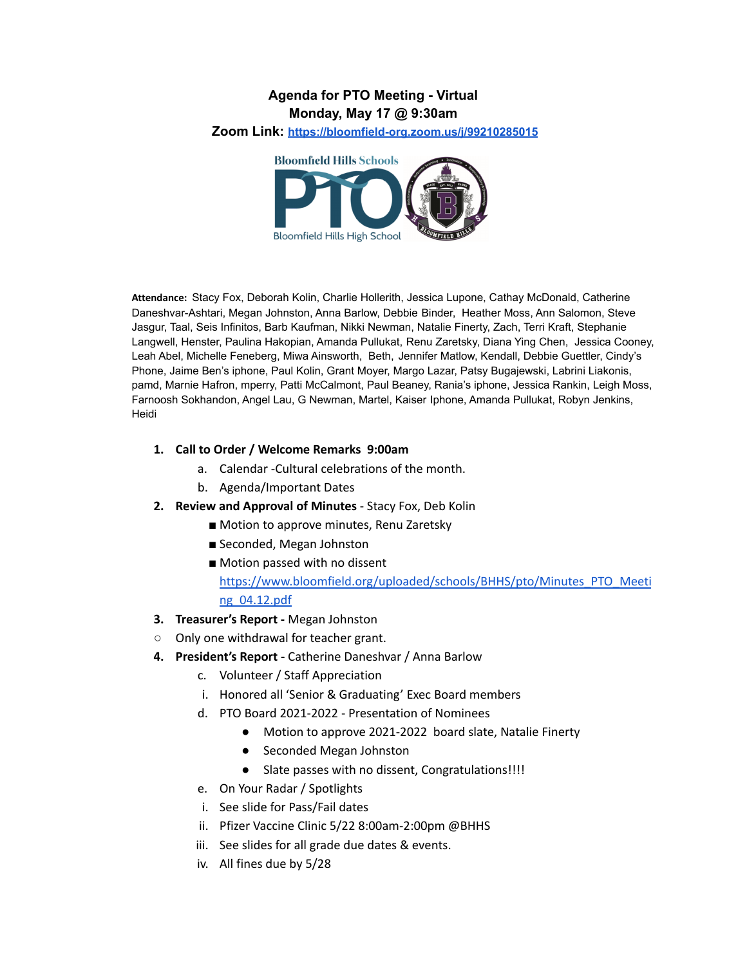### **Agenda for PTO Meeting - Virtual Monday, May 17 @ 9:30am**

**Zoom Link: <https://bloomfield-org.zoom.us/j/99210285015>**



**Attendance:** Stacy Fox, Deborah Kolin, Charlie Hollerith, Jessica Lupone, Cathay McDonald, Catherine Daneshvar-Ashtari, Megan Johnston, Anna Barlow, Debbie Binder, Heather Moss, Ann Salomon, Steve Jasgur, Taal, Seis Infinitos, Barb Kaufman, Nikki Newman, Natalie Finerty, Zach, Terri Kraft, Stephanie Langwell, Henster, Paulina Hakopian, Amanda Pullukat, Renu Zaretsky, Diana Ying Chen, Jessica Cooney, Leah Abel, Michelle Feneberg, Miwa Ainsworth, Beth, Jennifer Matlow, Kendall, Debbie Guettler, Cindy's Phone, Jaime Ben's iphone, Paul Kolin, Grant Moyer, Margo Lazar, Patsy Bugajewski, Labrini Liakonis, pamd, Marnie Hafron, mperry, Patti McCalmont, Paul Beaney, Rania's iphone, Jessica Rankin, Leigh Moss, Farnoosh Sokhandon, Angel Lau, G Newman, Martel, Kaiser Iphone, Amanda Pullukat, Robyn Jenkins, Heidi

#### **1. Call to Order / Welcome Remarks 9:00am**

- a. Calendar -Cultural celebrations of the month.
- b. Agenda/Important Dates
- **2. Review and Approval of Minutes** Stacy Fox, Deb Kolin
	- Motion to approve minutes, Renu Zaretsky
	- Seconded, Megan Johnston
	- Motion passed with no dissent [https://www.bloomfield.org/uploaded/schools/BHHS/pto/Minutes\\_PTO\\_Meeti](https://www.bloomfield.org/uploaded/schools/BHHS/pto/Minutes_PTO_Meeting_04.12.pdf) [ng\\_04.12.pdf](https://www.bloomfield.org/uploaded/schools/BHHS/pto/Minutes_PTO_Meeting_04.12.pdf)
- **3. Treasurer's Report -** Megan Johnston
- Only one withdrawal for teacher grant.
- **4. President's Report -** Catherine Daneshvar / Anna Barlow
	- c. Volunteer / Staff Appreciation
	- i. Honored all 'Senior & Graduating' Exec Board members
	- d. PTO Board 2021-2022 Presentation of Nominees
		- Motion to approve 2021-2022 board slate, Natalie Finerty
		- Seconded Megan Johnston
		- Slate passes with no dissent, Congratulations!!!!
	- e. On Your Radar / Spotlights
	- i. See slide for Pass/Fail dates
	- ii. Pfizer Vaccine Clinic 5/22 8:00am-2:00pm @BHHS
	- iii. See slides for all grade due dates & events.
	- iv. All fines due by 5/28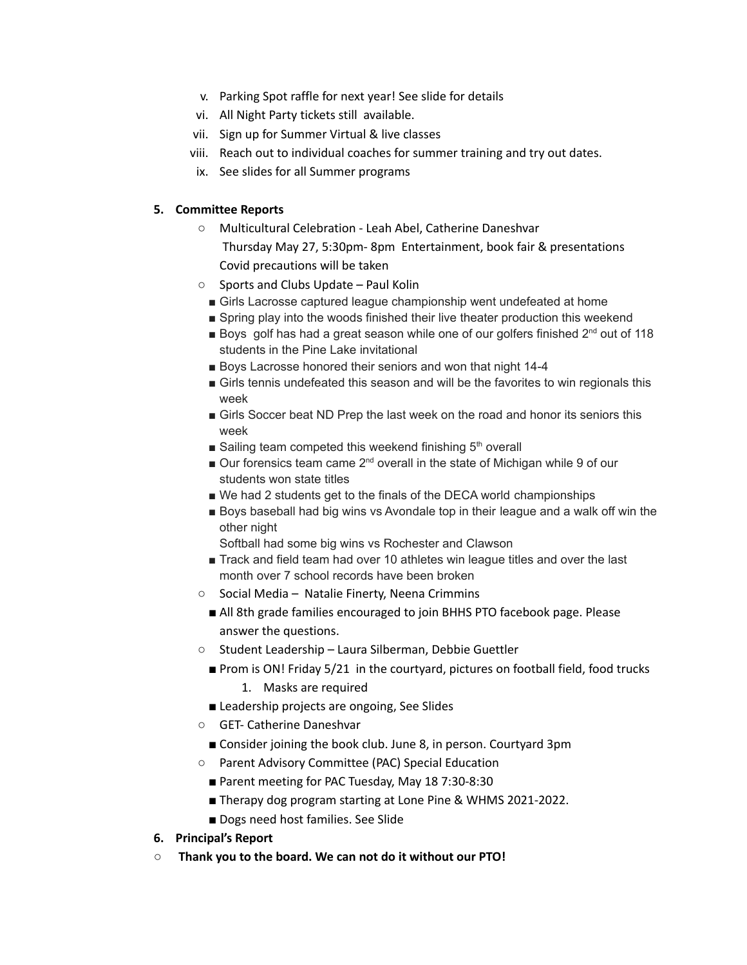- v. Parking Spot raffle for next year! See slide for details
- vi. All Night Party tickets still available.
- vii. Sign up for Summer Virtual & live classes
- viii. Reach out to individual coaches for summer training and try out dates.
- ix. See slides for all Summer programs

### **5. Committee Reports**

- Multicultural Celebration Leah Abel, Catherine Daneshvar Thursday May 27, 5:30pm- 8pm Entertainment, book fair & presentations Covid precautions will be taken
- Sports and Clubs Update Paul Kolin
	- Girls Lacrosse captured league championship went undefeated at home
	- Spring play into the woods finished their live theater production this weekend
	- **Boys** golf has had a great season while one of our golfers finished  $2^{nd}$  out of 118 students in the Pine Lake invitational
	- Boys Lacrosse honored their seniors and won that night 14-4
	- Girls tennis undefeated this season and will be the favorites to win regionals this week
	- Girls Soccer beat ND Prep the last week on the road and honor its seniors this week
	- Sailing team competed this weekend finishing 5<sup>th</sup> overall
	- Our forensics team came 2<sup>nd</sup> overall in the state of Michigan while 9 of our students won state titles
	- We had 2 students get to the finals of the DECA world championships
	- Boys baseball had big wins vs Avondale top in their league and a walk off win the other night
		- Softball had some big wins vs Rochester and Clawson
	- Track and field team had over 10 athletes win league titles and over the last month over 7 school records have been broken
- Social Media Natalie Finerty, Neena Crimmins
	- All 8th grade families encouraged to join BHHS PTO facebook page. Please answer the questions.
- Student Leadership Laura Silberman, Debbie Guettler
	- Prom is ON! Friday 5/21 in the courtyard, pictures on football field, food trucks
		- 1. Masks are required
	- Leadership projects are ongoing, See Slides
- GET- Catherine Daneshvar
	- Consider joining the book club. June 8, in person. Courtyard 3pm
- Parent Advisory Committee (PAC) Special Education
	- Parent meeting for PAC Tuesday, May 18 7:30-8:30
	- Therapy dog program starting at Lone Pine & WHMS 2021-2022.
	- Dogs need host families. See Slide
- **6. Principal's Report**
- **○ Thank you to the board. We can not do it without our PTO!**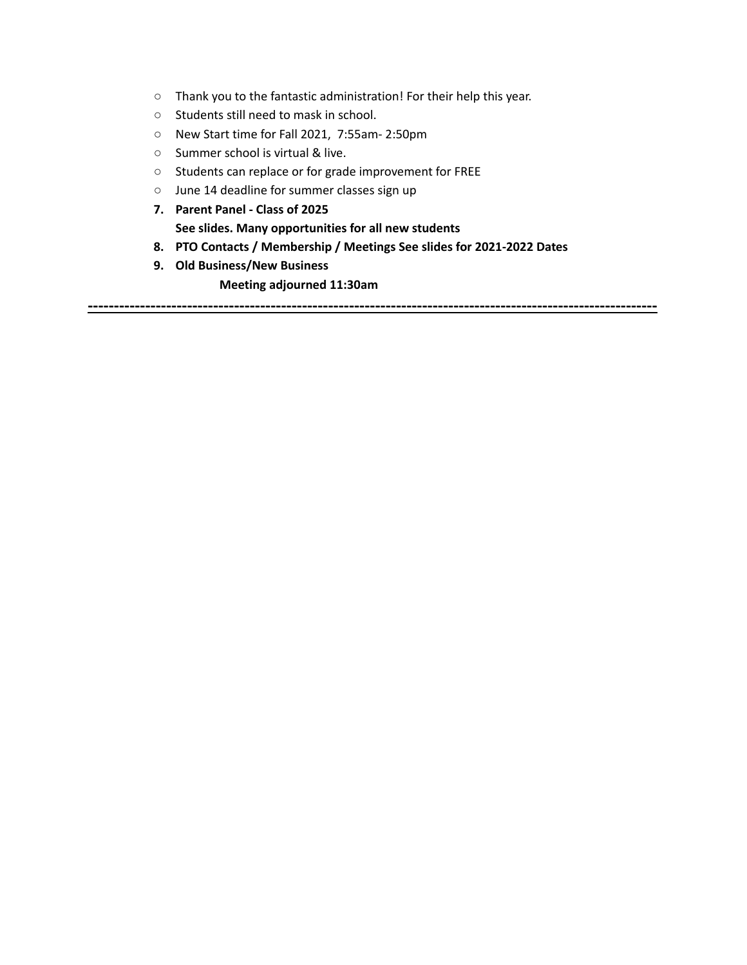- Thank you to the fantastic administration! For their help this year.
- Students still need to mask in school.
- New Start time for Fall 2021, 7:55am- 2:50pm
- Summer school is virtual & live.
- Students can replace or for grade improvement for FREE
- June 14 deadline for summer classes sign up
- **7. Parent Panel - Class of 2025 See slides. Many opportunities for all new students**
- **8. PTO Contacts / Membership / Meetings See slides for 2021-2022 Dates**

**-------------------------------------------------------------------------------------------------------------**

**9. Old Business/New Business**

**Meeting adjourned 11:30am**